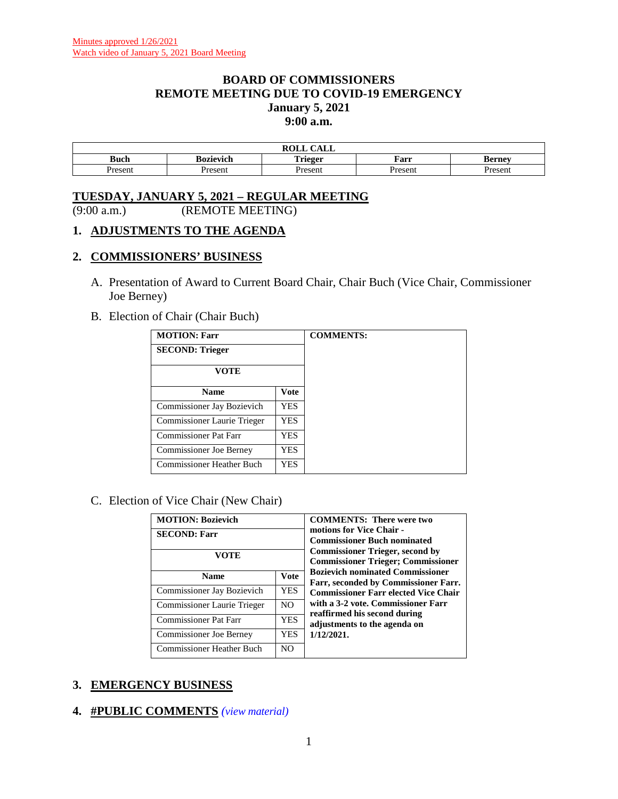### **BOARD OF COMMISSIONERS REMOTE MEETING DUE TO COVID-19 EMERGENCY January 5, 2021 9:00 a.m.**

|       |           | $\sim$ $\sim$ $\sim$<br>$P^{\text{OPT}}$<br>CALL<br>RVLL |        |         |
|-------|-----------|----------------------------------------------------------|--------|---------|
| Buch  | Bozievich | <br>'rieger<br><b>ALLELL</b>                             | Farr   | sernev  |
| resem | Present   | resem                                                    | Presen | resent? |

# **TUESDAY, JANUARY 5, 2021 – REGULAR MEETING**

(9:00 a.m.) (REMOTE MEETING)

### **1. ADJUSTMENTS TO THE AGENDA**

### **2. COMMISSIONERS' BUSINESS**

- A. Presentation of Award to Current Board Chair, Chair Buch (Vice Chair, Commissioner Joe Berney)
- B. Election of Chair (Chair Buch)

| <b>MOTION: Farr</b>              |             | <b>COMMENTS:</b> |
|----------------------------------|-------------|------------------|
| <b>SECOND: Trieger</b>           |             |                  |
| <b>VOTE</b>                      |             |                  |
| <b>Name</b>                      | <b>Vote</b> |                  |
| Commissioner Jay Bozievich       | YES.        |                  |
| Commissioner Laurie Trieger      | YES         |                  |
| Commissioner Pat Farr            | YES         |                  |
| <b>Commissioner Joe Berney</b>   | YES.        |                  |
| <b>Commissioner Heather Buch</b> | YES         |                  |

C. Election of Vice Chair (New Chair)

| <b>MOTION: Bozievich</b><br><b>SECOND: Farr</b><br>VOTE |                | <b>COMMENTS:</b> There were two<br>motions for Vice Chair -<br><b>Commissioner Buch nominated</b><br><b>Commissioner Trieger, second by</b><br><b>Commissioner Trieger; Commissioner</b> |
|---------------------------------------------------------|----------------|------------------------------------------------------------------------------------------------------------------------------------------------------------------------------------------|
| <b>Name</b>                                             | Vote           | <b>Bozievich nominated Commissioner</b><br>Farr, seconded by Commissioner Farr.                                                                                                          |
| Commissioner Jay Bozievich                              | <b>YES</b>     | <b>Commissioner Farr elected Vice Chair</b>                                                                                                                                              |
| Commissioner Laurie Trieger                             | N <sub>O</sub> | with a 3-2 vote. Commissioner Farr                                                                                                                                                       |
| <b>Commissioner Pat Farr</b>                            | <b>YES</b>     | reaffirmed his second during<br>adjustments to the agenda on                                                                                                                             |
| Commissioner Joe Berney                                 | <b>YES</b>     | 1/12/2021.                                                                                                                                                                               |
| <b>Commissioner Heather Buch</b>                        | N <sub>O</sub> |                                                                                                                                                                                          |

# **3. EMERGENCY BUSINESS**

**4. #PUBLIC COMMENTS** *(view [material\)](http://www.lanecountyor.gov/UserFiles/Servers/Server_3585797/File/Government/BCC/2021/2021_AGENDAS/010521agenda/T.4.pdf)*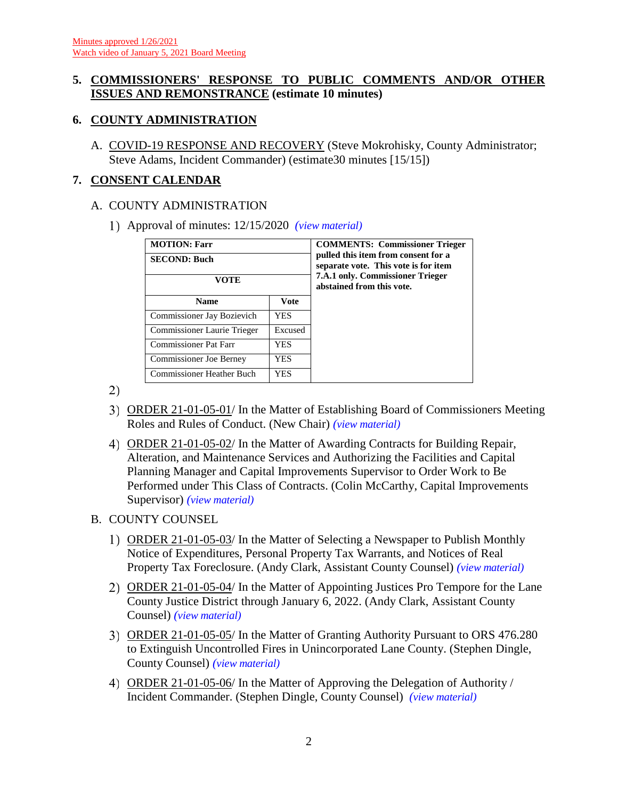# **5. COMMISSIONERS' RESPONSE TO PUBLIC COMMENTS AND/OR OTHER ISSUES AND REMONSTRANCE (estimate 10 minutes)**

# **6. COUNTY ADMINISTRATION**

A. COVID-19 RESPONSE AND RECOVERY (Steve Mokrohisky, County Administrator; Steve Adams, Incident Commander) (estimate30 minutes [15/15])

# **7. CONSENT CALENDAR**

# A. COUNTY ADMINISTRATION

Approval of minutes: 12/15/2020 *(view [material\)](http://www.lanecountyor.gov/UserFiles/Servers/Server_3585797/File/Government/BCC/2021/2021_AGENDAS/010521agenda/T.7.A.1.pdf)*

| <b>MOTION: Farr</b><br><b>SECOND: Buch</b><br>VOTE |             | <b>COMMENTS: Commissioner Trieger</b><br>pulled this item from consent for a<br>separate vote. This vote is for item<br><b>7.A.1 only. Commissioner Trieger</b><br>abstained from this vote. |
|----------------------------------------------------|-------------|----------------------------------------------------------------------------------------------------------------------------------------------------------------------------------------------|
| <b>Name</b>                                        | <b>Vote</b> |                                                                                                                                                                                              |
| Commissioner Jay Bozievich                         | <b>YES</b>  |                                                                                                                                                                                              |
| Commissioner Laurie Trieger                        | Excused     |                                                                                                                                                                                              |
| <b>Commissioner Pat Farr</b>                       | YES         |                                                                                                                                                                                              |
| <b>Commissioner Joe Berney</b>                     | YES         |                                                                                                                                                                                              |
| <b>Commissioner Heather Buch</b>                   | YES         |                                                                                                                                                                                              |

2)

- ORDER 21-01-05-01/ In the Matter of Establishing Board of Commissioners Meeting Roles and Rules of Conduct. (New Chair) *(view [material\)](http://www.lanecountyor.gov/UserFiles/Servers/Server_3585797/File/Government/BCC/2021/2021_AGENDAS/010521agenda/T.7.A.2.pdf)*
- ORDER 21-01-05-02/ In the Matter of Awarding Contracts for Building Repair, Alteration, and Maintenance Services and Authorizing the Facilities and Capital Planning Manager and Capital Improvements Supervisor to Order Work to Be Performed under This Class of Contracts. (Colin McCarthy, Capital Improvements Supervisor) *(view [material\)](http://www.lanecountyor.gov/UserFiles/Servers/Server_3585797/File/Government/BCC/2021/2021_AGENDAS/010521agenda/T.7.A.3.pdf)*

# B. COUNTY COUNSEL

- ORDER 21-01-05-03/ In the Matter of Selecting a Newspaper to Publish Monthly Notice of Expenditures, Personal Property Tax Warrants, and Notices of Real Property Tax Foreclosure. (Andy Clark, Assistant County Counsel) *(view [material\)](http://www.lanecountyor.gov/UserFiles/Servers/Server_3585797/File/Government/BCC/2021/2021_AGENDAS/010521agenda/T.7.B.1.pdf)*
- ORDER 21-01-05-04/ In the Matter of Appointing Justices Pro Tempore for the Lane County Justice District through January 6, 2022. (Andy Clark, Assistant County Counsel) *(view [material\)](http://www.lanecountyor.gov/UserFiles/Servers/Server_3585797/File/Government/BCC/2021/2021_AGENDAS/010521agenda/T.7.B.2.pdf)*
- ORDER 21-01-05-05/ In the Matter of Granting Authority Pursuant to ORS 476.280 to Extinguish Uncontrolled Fires in Unincorporated Lane County. (Stephen Dingle, County Counsel) *(view [material\)](http://www.lanecountyor.gov/UserFiles/Servers/Server_3585797/File/Government/BCC/2021/2021_AGENDAS/010521agenda/T.7.B.3.pdf)*
- ORDER 21-01-05-06/ In the Matter of Approving the Delegation of Authority / Incident Commander. (Stephen Dingle, County Counsel) *(view [material\)](http://www.lanecountyor.gov/UserFiles/Servers/Server_3585797/File/Government/BCC/2021/2021_AGENDAS/010521agenda/T.7.B.4.pdf)*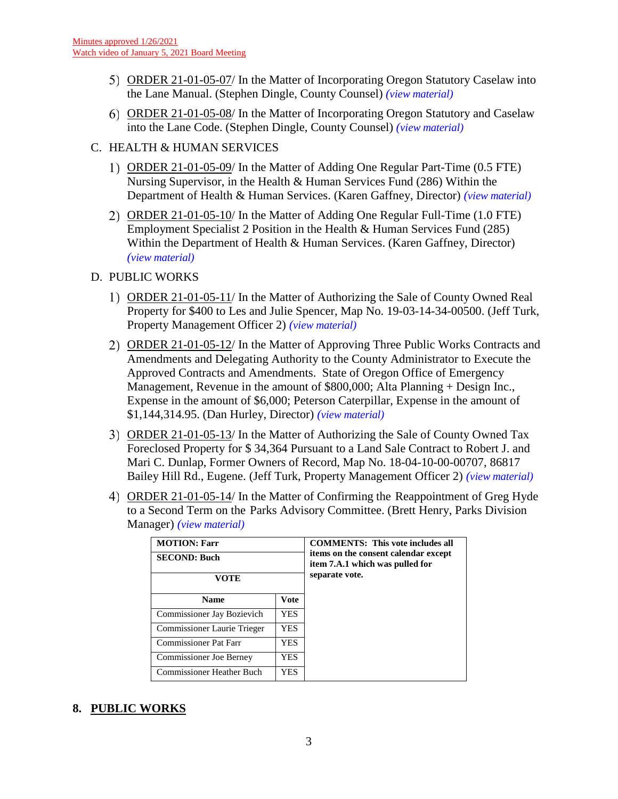- ORDER 21-01-05-07/ In the Matter of Incorporating Oregon Statutory Caselaw into the Lane Manual. (Stephen Dingle, County Counsel) *(view [material\)](http://www.lanecountyor.gov/UserFiles/Servers/Server_3585797/File/Government/BCC/2021/2021_AGENDAS/010521agenda/T.7.B.5.pdf)*
- ORDER 21-01-05-08/ In the Matter of Incorporating Oregon Statutory and Caselaw into the Lane Code. (Stephen Dingle, County Counsel) *(view [material\)](http://www.lanecountyor.gov/UserFiles/Servers/Server_3585797/File/Government/BCC/2021/2021_AGENDAS/010521agenda/T.7.B.6.pdf)*
- C. HEALTH & HUMAN SERVICES
	- ORDER 21-01-05-09/ In the Matter of Adding One Regular Part-Time (0.5 FTE) Nursing Supervisor, in the Health & Human Services Fund (286) Within the Department of Health & Human Services. (Karen Gaffney, Director) *(view [material\)](http://www.lanecountyor.gov/UserFiles/Servers/Server_3585797/File/Government/BCC/2021/2021_AGENDAS/010521agenda/T.7.C.1.pdf)*
	- 2) ORDER 21-01-05-10/ In the Matter of Adding One Regular Full-Time (1.0 FTE) Employment Specialist 2 Position in the Health & Human Services Fund (285) Within the Department of Health & Human Services. (Karen Gaffney, Director) *(view [material\)](http://www.lanecountyor.gov/UserFiles/Servers/Server_3585797/File/Government/BCC/2021/2021_AGENDAS/010521agenda/T.7.C.2.pdf)*

### D. PUBLIC WORKS

- ORDER 21-01-05-11/ In the Matter of Authorizing the Sale of County Owned Real Property for \$400 to Les and Julie Spencer, Map No. 19-03-14-34-00500. (Jeff Turk, Property Management Officer 2) *(view [material\)](http://www.lanecountyor.gov/UserFiles/Servers/Server_3585797/File/Government/BCC/2021/2021_AGENDAS/010521agenda/T.7.D.1.pdf)*
- ORDER 21-01-05-12/ In the Matter of Approving Three Public Works Contracts and Amendments and Delegating Authority to the County Administrator to Execute the Approved Contracts and Amendments. State of Oregon Office of Emergency Management, Revenue in the amount of \$800,000; Alta Planning + Design Inc., Expense in the amount of \$6,000; Peterson Caterpillar, Expense in the amount of \$1,144,314.95. (Dan Hurley, Director) *(view [material\)](http://www.lanecountyor.gov/UserFiles/Servers/Server_3585797/File/Government/BCC/2021/2021_AGENDAS/010521agenda/T.7.D.2.pdf)*
- ORDER 21-01-05-13/ In the Matter of Authorizing the Sale of County Owned Tax Foreclosed Property for \$ 34,364 Pursuant to a Land Sale Contract to Robert J. and Mari C. Dunlap, Former Owners of Record, Map No. 18-04-10-00-00707, 86817 Bailey Hill Rd., Eugene. (Jeff Turk, Property Management Officer 2) *(view [material\)](http://www.lanecountyor.gov/UserFiles/Servers/Server_3585797/File/Government/BCC/2021/2021_AGENDAS/010521agenda/T.7.D.3.pdf)*
- ORDER 21-01-05-14/ In the Matter of Confirming the Reappointment of Greg Hyde to a Second Term on the Parks Advisory Committee. (Brett Henry, Parks Division Manager) *(view [material\)](http://www.lanecountyor.gov/UserFiles/Servers/Server_3585797/File/Government/BCC/2021/2021_AGENDAS/010521agenda/T.7.D.4.pdf)*

| <b>MOTION: Farr</b>              |             | <b>COMMENTS:</b> This vote includes all                                 |
|----------------------------------|-------------|-------------------------------------------------------------------------|
| <b>SECOND: Buch</b>              |             | items on the consent calendar except<br>item 7.A.1 which was pulled for |
| VOTE                             |             | separate vote.                                                          |
| <b>Name</b>                      | <b>Vote</b> |                                                                         |
| Commissioner Jay Bozievich       | YES.        |                                                                         |
| Commissioner Laurie Trieger      | YES.        |                                                                         |
| <b>Commissioner Pat Farr</b>     | YES.        |                                                                         |
| <b>Commissioner Joe Berney</b>   | YES.        |                                                                         |
| <b>Commissioner Heather Buch</b> | YES.        |                                                                         |

# **8. PUBLIC WORKS**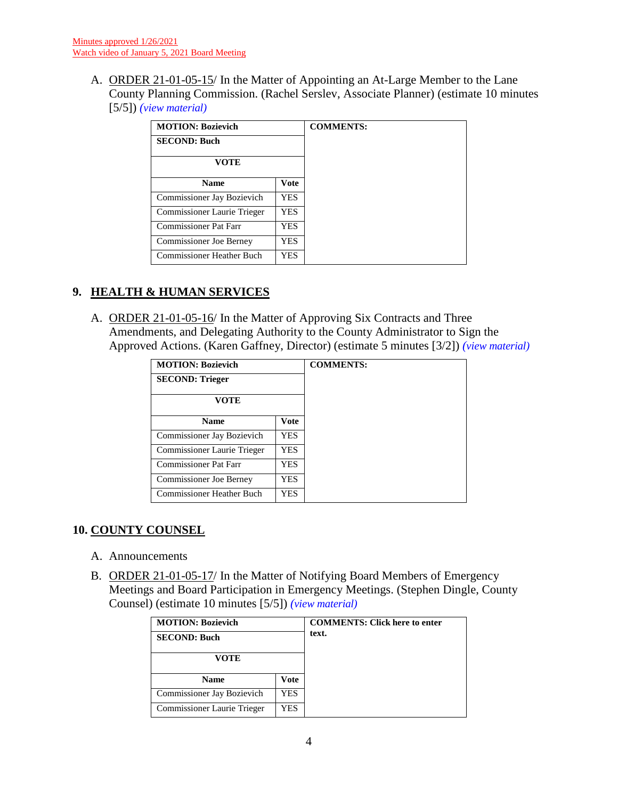A. ORDER 21-01-05-15/ In the Matter of Appointing an At-Large Member to the Lane County Planning Commission. (Rachel Serslev, Associate Planner) (estimate 10 minutes [5/5]) *(view [material\)](http://www.lanecountyor.gov/UserFiles/Servers/Server_3585797/File/Government/BCC/2021/2021_AGENDAS/010521agenda/T.8.A.pdf)*

| <b>MOTION: Bozievich</b>         |      | <b>COMMENTS:</b> |
|----------------------------------|------|------------------|
| <b>SECOND: Buch</b>              |      |                  |
| VOTE                             |      |                  |
| <b>Name</b>                      | Vote |                  |
| Commissioner Jay Bozievich       | YES. |                  |
| Commissioner Laurie Trieger      | YES. |                  |
| <b>Commissioner Pat Farr</b>     | YES. |                  |
| <b>Commissioner Joe Berney</b>   | YES. |                  |
| <b>Commissioner Heather Buch</b> | YES. |                  |

# **9. HEALTH & HUMAN SERVICES**

A. ORDER 21-01-05-16/ In the Matter of Approving Six Contracts and Three Amendments, and Delegating Authority to the County Administrator to Sign the Approved Actions. (Karen Gaffney, Director) (estimate 5 minutes [3/2]) *(view [material\)](http://www.lanecountyor.gov/UserFiles/Servers/Server_3585797/File/Government/BCC/2021/2021_AGENDAS/010521agenda/T.9.A.pdf)*

| <b>MOTION: Bozievich</b>         |             |
|----------------------------------|-------------|
| <b>SECOND: Trieger</b>           |             |
| VOTE                             |             |
| <b>Name</b>                      | <b>Vote</b> |
| Commissioner Jay Bozievich       | <b>YES</b>  |
| Commissioner Laurie Trieger      | <b>YES</b>  |
| Commissioner Pat Farr            | YES         |
| <b>Commissioner Joe Berney</b>   | <b>YES</b>  |
| <b>Commissioner Heather Buch</b> | <b>YES</b>  |

# **10. COUNTY COUNSEL**

- A. Announcements
- B. ORDER 21-01-05-17/ In the Matter of Notifying Board Members of Emergency Meetings and Board Participation in Emergency Meetings. (Stephen Dingle, County Counsel) (estimate 10 minutes [5/5]) *(view [material\)](http://www.lanecountyor.gov/UserFiles/Servers/Server_3585797/File/Government/BCC/2021/2021_AGENDAS/010521agenda/T.10.B.pdf)*

| <b>MOTION: Bozievich</b><br><b>SECOND: Buch</b> |      | <b>COMMENTS: Click here to enter</b><br>text. |
|-------------------------------------------------|------|-----------------------------------------------|
| VOTE                                            |      |                                               |
| <b>Name</b>                                     | Vote |                                               |
| Commissioner Jay Bozievich                      | YES. |                                               |
| Commissioner Laurie Trieger                     | YES  |                                               |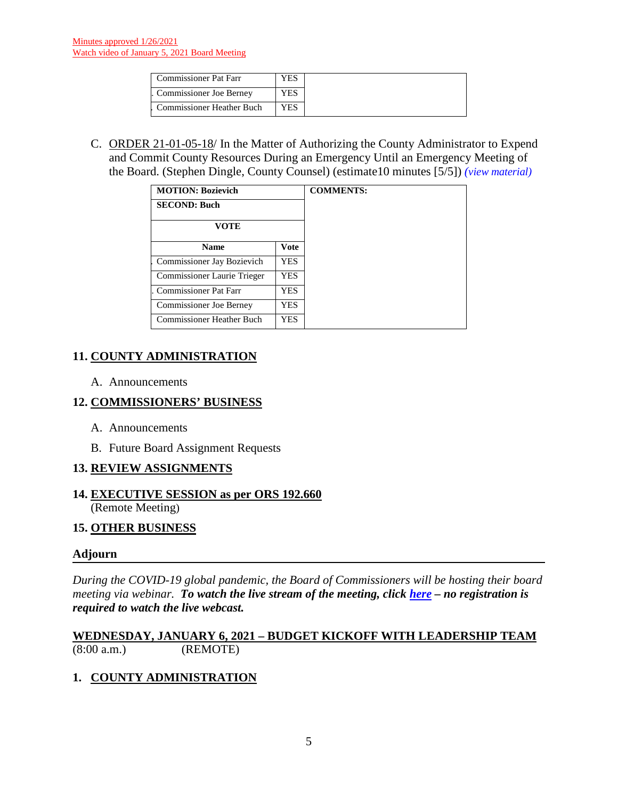| <b>Commissioner Pat Farr</b>     |  |
|----------------------------------|--|
| Commissioner Joe Berney          |  |
| <b>Commissioner Heather Buch</b> |  |

C. ORDER 21-01-05-18/ In the Matter of Authorizing the County Administrator to Expend and Commit County Resources During an Emergency Until an Emergency Meeting of the Board. (Stephen Dingle, County Counsel) (estimate10 minutes [5/5]) *(view [material\)](http://www.lanecountyor.gov/UserFiles/Servers/Server_3585797/File/Government/BCC/2021/2021_AGENDAS/010521agenda/T.10.C.pdf)*

| <b>MOTION: Bozievich</b>       |             |
|--------------------------------|-------------|
| <b>SECOND: Buch</b>            |             |
| <b>VOTE</b>                    |             |
| <b>Name</b>                    | <b>Vote</b> |
| Commissioner Jay Bozievich     | <b>YES</b>  |
| Commissioner Laurie Trieger    | YES.        |
| <b>Commissioner Pat Farr</b>   | <b>YES</b>  |
| <b>Commissioner Joe Berney</b> | YES.        |
| Commissioner Heather Buch      | YES.        |

# **11. COUNTY ADMINISTRATION**

A. Announcements

# **12. COMMISSIONERS' BUSINESS**

- A. Announcements
- B. Future Board Assignment Requests

# **13. REVIEW ASSIGNMENTS**

### **14. EXECUTIVE SESSION as per ORS 192.660** (Remote Meeting)

### **15. OTHER BUSINESS**

### **Adjourn**

*During the COVID-19 global pandemic, the Board of Commissioners will be hosting their board meeting via webinar. To watch the live stream of the meeting, click [here](https://lanecounty.org/cms/One.aspx?portalId=3585881&pageId=7842434) – no registration is required to watch the live webcast.* 

### **WEDNESDAY, JANUARY 6, 2021 – BUDGET KICKOFF WITH LEADERSHIP TEAM** (8:00 a.m.) (REMOTE)

# **1. COUNTY ADMINISTRATION**